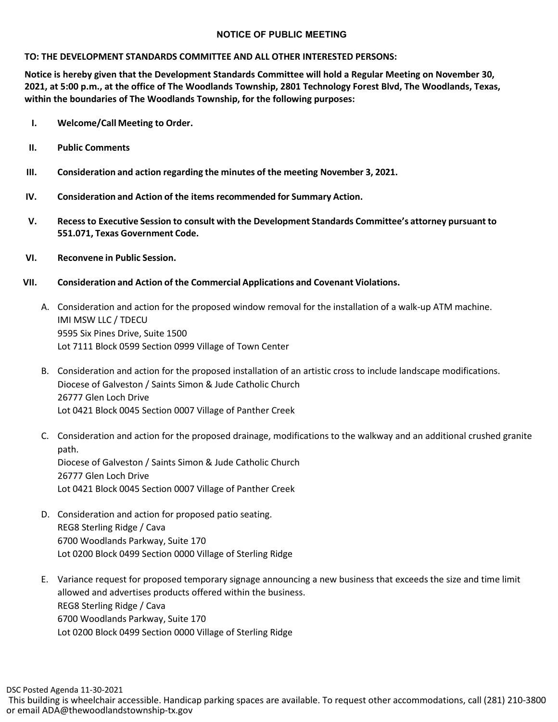## **NOTICE OF PUBLIC MEETING**

## **TO: THE DEVELOPMENT STANDARDS COMMITTEE AND ALL OTHER INTERESTED PERSONS:**

**Notice is hereby given that the Development Standards Committee will hold a Regular Meeting on November 30, 2021, at 5:00 p.m., at the office of The Woodlands Township, 2801 Technology Forest Blvd, The Woodlands, Texas, within the boundaries of The Woodlands Township, for the following purposes:**

- **I. Welcome/Call Meeting to Order.**
- **II. Public Comments**
- **III. Consideration and action regarding the minutes of the meeting November 3, 2021.**
- **IV. Consideration and Action of the items recommended for Summary Action.**
- **V. Recessto Executive Session to consult with the Development Standards Committee's attorney pursuant to 551.071, Texas Government Code.**
- **VI. Reconvene in Public Session.**
- **VII. Consideration and Action of the Commercial Applications and Covenant Violations.**
	- A. Consideration and action for the proposed window removal for the installation of a walk-up ATM machine. IMI MSW LLC / TDECU 9595 Six Pines Drive, Suite 1500 Lot 7111 Block 0599 Section 0999 Village of Town Center
	- B. Consideration and action for the proposed installation of an artistic cross to include landscape modifications. Diocese of Galveston / Saints Simon & Jude Catholic Church 26777 Glen Loch Drive Lot 0421 Block 0045 Section 0007 Village of Panther Creek
	- C. Consideration and action for the proposed drainage, modifications to the walkway and an additional crushed granite path. Diocese of Galveston / Saints Simon & Jude Catholic Church 26777 Glen Loch Drive Lot 0421 Block 0045 Section 0007 Village of Panther Creek
	- D. Consideration and action for proposed patio seating. REG8 Sterling Ridge / Cava 6700 Woodlands Parkway, Suite 170 Lot 0200 Block 0499 Section 0000 Village of Sterling Ridge
	- E. Variance request for proposed temporary signage announcing a new business that exceeds the size and time limit allowed and advertises products offered within the business. REG8 Sterling Ridge / Cava 6700 Woodlands Parkway, Suite 170 Lot 0200 Block 0499 Section 0000 Village of Sterling Ridge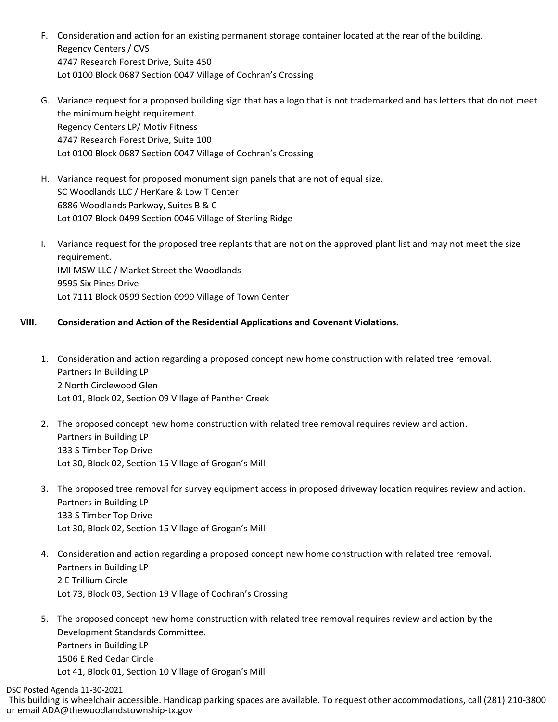- F. Consideration and action for an existing permanent storage container located at the rear of the building. Regency Centers / CVS 4747 Research Forest Drive, Suite 450 Lot 0100 Block 0687 Section 0047 Village of Cochran's Crossing
- G. Variance request for a proposed building sign that has a logo that is not trademarked and has letters that do not meet the minimum height requirement. Regency Centers LP/ Motiv Fitness 4747 Research Forest Drive, Suite 100 Lot 0100 Block 0687 Section 0047 Village of Cochran's Crossing
- H. Variance request for proposed monument sign panels that are not of equal size. SC Woodlands LLC / HerKare & Low T Center 6886 Woodlands Parkway, Suites B & C Lot 0107 Block 0499 Section 0046 Village of Sterling Ridge
- I. Variance request for the proposed tree replants that are not on the approved plant list and may not meet the size requirement. IMI MSW LLC / Market Street the Woodlands 9595 Six Pines Drive Lot 7111 Block 0599 Section 0999 Village of Town Center

## **VIII. Consideration and Action of the Residential Applications and Covenant Violations.**

- 1. Consideration and action regarding a proposed concept new home construction with related tree removal. Partners In Building LP 2 North Circlewood Glen Lot 01, Block 02, Section 09 Village of Panther Creek
- 2. The proposed concept new home construction with related tree removal requires review and action. Partners in Building LP 133 S Timber Top Drive Lot 30, Block 02, Section 15 Village of Grogan's Mill
- 3. The proposed tree removal for survey equipment access in proposed driveway location requires review and action. Partners in Building LP 133 S Timber Top Drive Lot 30, Block 02, Section 15 Village of Grogan's Mill
- 4. Consideration and action regarding a proposed concept new home construction with related tree removal. Partners in Building LP 2 E Trillium Circle Lot 73, Block 03, Section 19 Village of Cochran's Crossing
- 5. The proposed concept new home construction with related tree removal requires review and action by the Development Standards Committee. Partners in Building LP 1506 E Red Cedar Circle Lot 41, Block 01, Section 10 Village of Grogan's Mill

DSC Posted Agenda 11-30-2021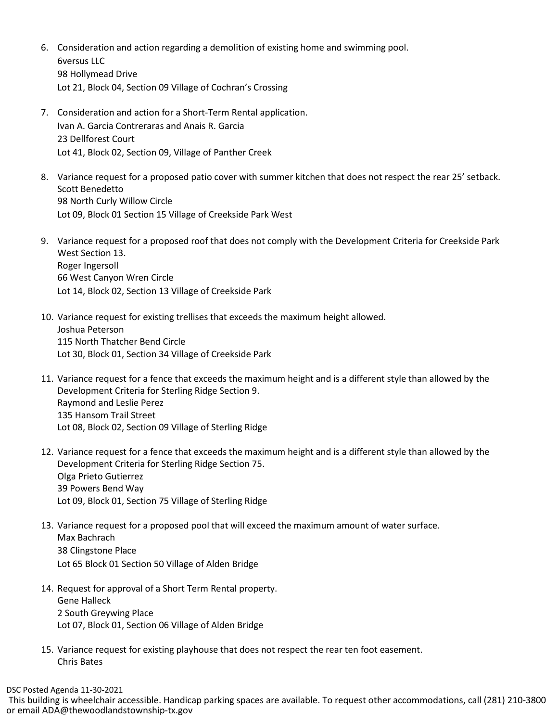- 6. Consideration and action regarding a demolition of existing home and swimming pool. 6versus LLC 98 Hollymead Drive Lot 21, Block 04, Section 09 Village of Cochran's Crossing
- 7. Consideration and action for a Short-Term Rental application. Ivan A. Garcia Contreraras and Anais R. Garcia 23 Dellforest Court Lot 41, Block 02, Section 09, Village of Panther Creek
- 8. Variance request for a proposed patio cover with summer kitchen that does not respect the rear 25' setback. Scott Benedetto 98 North Curly Willow Circle Lot 09, Block 01 Section 15 Village of Creekside Park West
- 9. Variance request for a proposed roof that does not comply with the Development Criteria for Creekside Park West Section 13. Roger Ingersoll 66 West Canyon Wren Circle Lot 14, Block 02, Section 13 Village of Creekside Park
- 10. Variance request for existing trellises that exceeds the maximum height allowed. Joshua Peterson 115 North Thatcher Bend Circle Lot 30, Block 01, Section 34 Village of Creekside Park
- 11. Variance request for a fence that exceeds the maximum height and is a different style than allowed by the Development Criteria for Sterling Ridge Section 9. Raymond and Leslie Perez 135 Hansom Trail Street Lot 08, Block 02, Section 09 Village of Sterling Ridge
- 12. Variance request for a fence that exceeds the maximum height and is a different style than allowed by the Development Criteria for Sterling Ridge Section 75. Olga Prieto Gutierrez 39 Powers Bend Way Lot 09, Block 01, Section 75 Village of Sterling Ridge
- 13. Variance request for a proposed pool that will exceed the maximum amount of water surface. Max Bachrach 38 Clingstone Place Lot 65 Block 01 Section 50 Village of Alden Bridge
- 14. Request for approval of a Short Term Rental property. Gene Halleck 2 South Greywing Place Lot 07, Block 01, Section 06 Village of Alden Bridge
- 15. Variance request for existing playhouse that does not respect the rear ten foot easement. Chris Bates

DSC Posted Agenda 11-30-2021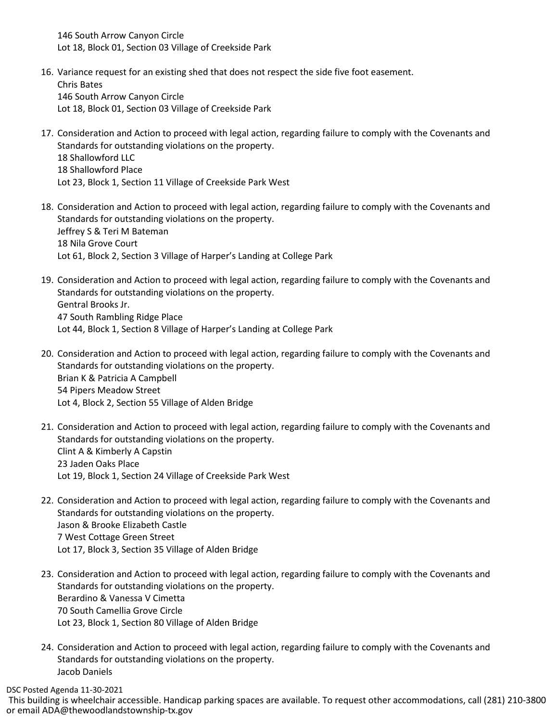146 South Arrow Canyon Circle Lot 18, Block 01, Section 03 Village of Creekside Park

- 16. Variance request for an existing shed that does not respect the side five foot easement. Chris Bates 146 South Arrow Canyon Circle Lot 18, Block 01, Section 03 Village of Creekside Park
- 17. Consideration and Action to proceed with legal action, regarding failure to comply with the Covenants and Standards for outstanding violations on the property. 18 Shallowford LLC 18 Shallowford Place Lot 23, Block 1, Section 11 Village of Creekside Park West
- 18. Consideration and Action to proceed with legal action, regarding failure to comply with the Covenants and Standards for outstanding violations on the property. Jeffrey S & Teri M Bateman 18 Nila Grove Court Lot 61, Block 2, Section 3 Village of Harper's Landing at College Park
- 19. Consideration and Action to proceed with legal action, regarding failure to comply with the Covenants and Standards for outstanding violations on the property. Gentral Brooks Jr. 47 South Rambling Ridge Place Lot 44, Block 1, Section 8 Village of Harper's Landing at College Park
- 20. Consideration and Action to proceed with legal action, regarding failure to comply with the Covenants and Standards for outstanding violations on the property. Brian K & Patricia A Campbell 54 Pipers Meadow Street Lot 4, Block 2, Section 55 Village of Alden Bridge
- 21. Consideration and Action to proceed with legal action, regarding failure to comply with the Covenants and Standards for outstanding violations on the property. Clint A & Kimberly A Capstin 23 Jaden Oaks Place Lot 19, Block 1, Section 24 Village of Creekside Park West
- 22. Consideration and Action to proceed with legal action, regarding failure to comply with the Covenants and Standards for outstanding violations on the property. Jason & Brooke Elizabeth Castle 7 West Cottage Green Street Lot 17, Block 3, Section 35 Village of Alden Bridge
- 23. Consideration and Action to proceed with legal action, regarding failure to comply with the Covenants and Standards for outstanding violations on the property. Berardino & Vanessa V Cimetta 70 South Camellia Grove Circle Lot 23, Block 1, Section 80 Village of Alden Bridge
- 24. Consideration and Action to proceed with legal action, regarding failure to comply with the Covenants and Standards for outstanding violations on the property. Jacob Daniels

DSC Posted Agenda 11-30-2021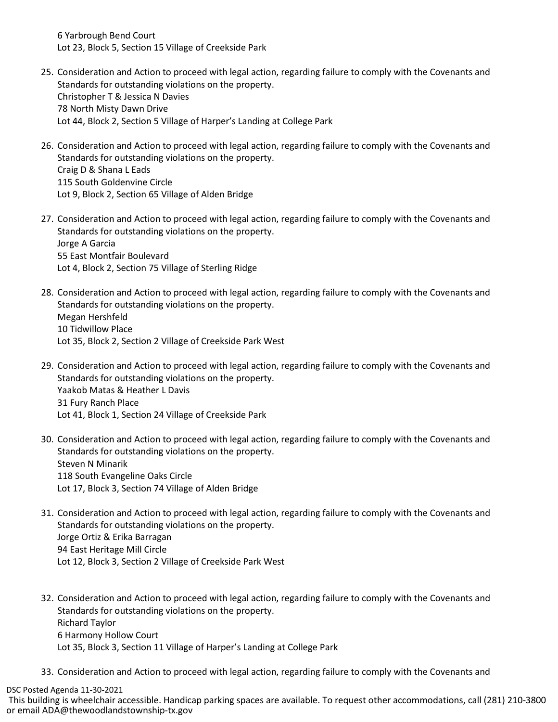6 Yarbrough Bend Court Lot 23, Block 5, Section 15 Village of Creekside Park

- 25. Consideration and Action to proceed with legal action, regarding failure to comply with the Covenants and Standards for outstanding violations on the property. Christopher T & Jessica N Davies 78 North Misty Dawn Drive Lot 44, Block 2, Section 5 Village of Harper's Landing at College Park
- 26. Consideration and Action to proceed with legal action, regarding failure to comply with the Covenants and Standards for outstanding violations on the property. Craig D & Shana L Eads 115 South Goldenvine Circle Lot 9, Block 2, Section 65 Village of Alden Bridge
- 27. Consideration and Action to proceed with legal action, regarding failure to comply with the Covenants and Standards for outstanding violations on the property. Jorge A Garcia 55 East Montfair Boulevard Lot 4, Block 2, Section 75 Village of Sterling Ridge
- 28. Consideration and Action to proceed with legal action, regarding failure to comply with the Covenants and Standards for outstanding violations on the property. Megan Hershfeld 10 Tidwillow Place Lot 35, Block 2, Section 2 Village of Creekside Park West
- 29. Consideration and Action to proceed with legal action, regarding failure to comply with the Covenants and Standards for outstanding violations on the property. Yaakob Matas & Heather L Davis 31 Fury Ranch Place Lot 41, Block 1, Section 24 Village of Creekside Park
- 30. Consideration and Action to proceed with legal action, regarding failure to comply with the Covenants and Standards for outstanding violations on the property. Steven N Minarik 118 South Evangeline Oaks Circle Lot 17, Block 3, Section 74 Village of Alden Bridge
- 31. Consideration and Action to proceed with legal action, regarding failure to comply with the Covenants and Standards for outstanding violations on the property. Jorge Ortiz & Erika Barragan 94 East Heritage Mill Circle Lot 12, Block 3, Section 2 Village of Creekside Park West
- 32. Consideration and Action to proceed with legal action, regarding failure to comply with the Covenants and Standards for outstanding violations on the property. Richard Taylor 6 Harmony Hollow Court Lot 35, Block 3, Section 11 Village of Harper's Landing at College Park
- 33. Consideration and Action to proceed with legal action, regarding failure to comply with the Covenants and

DSC Posted Agenda 11-30-2021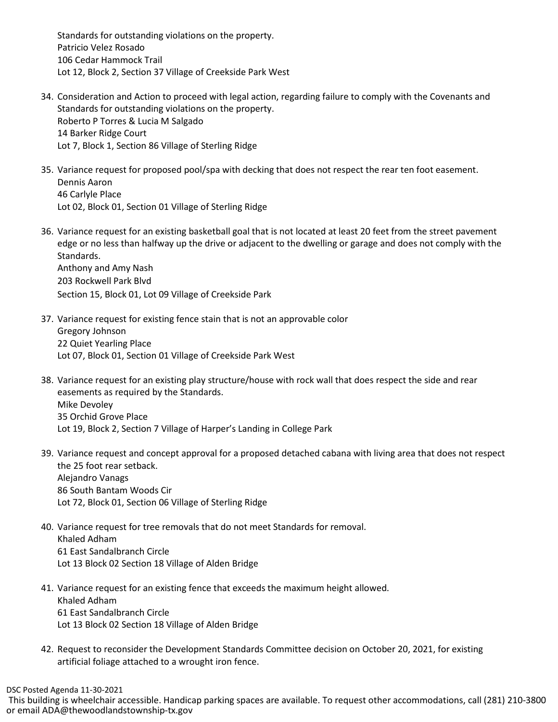Standards for outstanding violations on the property. Patricio Velez Rosado 106 Cedar Hammock Trail Lot 12, Block 2, Section 37 Village of Creekside Park West

- 34. Consideration and Action to proceed with legal action, regarding failure to comply with the Covenants and Standards for outstanding violations on the property. Roberto P Torres & Lucia M Salgado 14 Barker Ridge Court Lot 7, Block 1, Section 86 Village of Sterling Ridge
- 35. Variance request for proposed pool/spa with decking that does not respect the rear ten foot easement. Dennis Aaron 46 Carlyle Place Lot 02, Block 01, Section 01 Village of Sterling Ridge
- 36. Variance request for an existing basketball goal that is not located at least 20 feet from the street pavement edge or no less than halfway up the drive or adjacent to the dwelling or garage and does not comply with the Standards. Anthony and Amy Nash 203 Rockwell Park Blvd Section 15, Block 01, Lot 09 Village of Creekside Park
- 37. Variance request for existing fence stain that is not an approvable color Gregory Johnson 22 Quiet Yearling Place Lot 07, Block 01, Section 01 Village of Creekside Park West
- 38. Variance request for an existing play structure/house with rock wall that does respect the side and rear easements as required by the Standards. Mike Devoley 35 Orchid Grove Place Lot 19, Block 2, Section 7 Village of Harper's Landing in College Park
- 39. Variance request and concept approval for a proposed detached cabana with living area that does not respect the 25 foot rear setback. Alejandro Vanags 86 South Bantam Woods Cir Lot 72, Block 01, Section 06 Village of Sterling Ridge
- 40. Variance request for tree removals that do not meet Standards for removal. Khaled Adham 61 East Sandalbranch Circle Lot 13 Block 02 Section 18 Village of Alden Bridge
- 41. Variance request for an existing fence that exceeds the maximum height allowed. Khaled Adham 61 East Sandalbranch Circle Lot 13 Block 02 Section 18 Village of Alden Bridge
- 42. Request to reconsider the Development Standards Committee decision on October 20, 2021, for existing artificial foliage attached to a wrought iron fence.